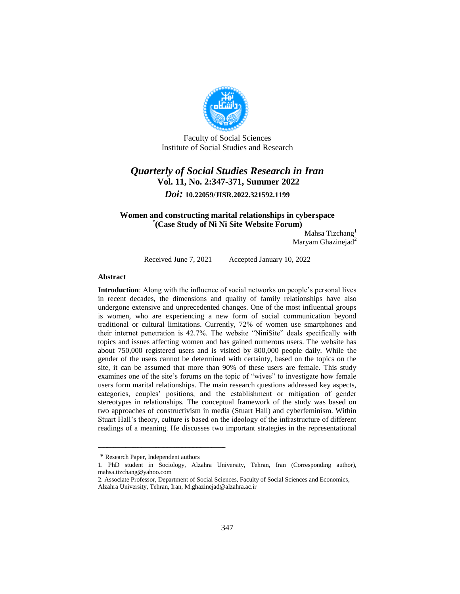

Faculty of Social Sciences Institute of Social Studies and Research

# *Quarterly of Social Studies Research in Iran* **Vol. 11, No. 2:347-371, Summer 2022** *Doi:* **10.22059/JISR.2022.321592.1199**

### **Women and constructing marital relationships in cyberspace (Case Study of Ni Ni Site Website Forum)** \*

Mahsa Tizchang<sup>1</sup> Maryam Ghazinejad $2$ 

Received June 7, 2021 Accepted January 10, 2022

#### **Abstract**

**Introduction**: Along with the influence of social networks on people's personal lives in recent decades, the dimensions and quality of family relationships have also undergone extensive and unprecedented changes. One of the most influential groups is women, who are experiencing a new form of social communication beyond traditional or cultural limitations. Currently, 72% of women use smartphones and their internet penetration is 42.7%. The website "NiniSite" deals specifically with topics and issues affecting women and has gained numerous users. The website has about 750,000 registered users and is visited by 800,000 people daily. While the gender of the users cannot be determined with certainty, based on the topics on the site, it can be assumed that more than 90% of these users are female. This study examines one of the site's forums on the topic of "wives" to investigate how female users form marital relationships. The main research questions addressed key aspects, categories, couples' positions, and the establishment or mitigation of gender stereotypes in relationships. The conceptual framework of the study was based on two approaches of constructivism in media (Stuart Hall) and cyberfeminism. Within Stuart Hall's theory, culture is based on the ideology of the infrastructure of different readings of a meaning. He discusses two important strategies in the representational

<sup>\*</sup> Research Paper, Independent authors

<sup>1.</sup> PhD student in Sociology, Alzahra University, Tehran, Iran (Corresponding author), mahsa.tizchang@yahoo.com

<sup>2.</sup> Associate Professor, Department of Social Sciences, Faculty of Social Sciences and Economics, Alzahra University, Tehran, Iran, M.ghazinejad@alzahra.ac.ir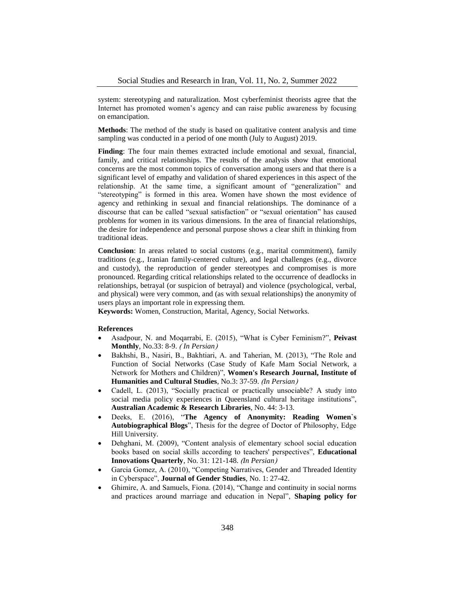system: stereotyping and naturalization. Most cyberfeminist theorists agree that the Internet has promoted women's agency and can raise public awareness by focusing on emancipation.

**Methods**: The method of the study is based on qualitative content analysis and time sampling was conducted in a period of one month (July to August) 2019.

**Finding**: The four main themes extracted include emotional and sexual, financial, family, and critical relationships. The results of the analysis show that emotional concerns are the most common topics of conversation among users and that there is a significant level of empathy and validation of shared experiences in this aspect of the relationship. At the same time, a significant amount of "generalization" and "stereotyping" is formed in this area. Women have shown the most evidence of agency and rethinking in sexual and financial relationships. The dominance of a discourse that can be called "sexual satisfaction" or "sexual orientation" has caused problems for women in its various dimensions. In the area of financial relationships, the desire for independence and personal purpose shows a clear shift in thinking from traditional ideas.

**Conclusion**: In areas related to social customs (e.g., marital commitment), family traditions (e.g., Iranian family-centered culture), and legal challenges (e.g., divorce and custody), the reproduction of gender stereotypes and compromises is more pronounced. Regarding critical relationships related to the occurrence of deadlocks in relationships, betrayal (or suspicion of betrayal) and violence (psychological, verbal, and physical) were very common, and (as with sexual relationships) the anonymity of users plays an important role in expressing them.

**Keywords:** Women, Construction, Marital, Agency, Social Networks.

#### **References**

- Asadpour, N. and Moqarrabi, E. (2015), "What is Cyber Feminism?", **Peivast Monthly**, No.33: 8-9. *(In Persian)*
- Bakhshi, B., Nasiri, B., Bakhtiari, A. and Taherian, M. (2013), "The Role and Function of Social Networks (Case Study of Kafe Mam Social Network, a Network for Mothers and Children)", **Women's Research Journal, Institute of Humanities and Cultural Studies**, No.3: 37-59. (In Persian)
- Cadell, L. (2013), "Socially practical or practically unsociable? A study into social media policy experiences in Queensland cultural heritage institutions", **Australian Academic & Research Libraries**, No. 44: 3-13.
- Deeks, E. (2016), "**The Agency of Anonymity: Reading Women`s Autobiographical Blogs**", Thesis for the degree of Doctor of Philosophy, Edge Hill University.
- Dehghani, M. (2009), "Content analysis of elementary school social education books based on social skills according to teachers' perspectives", **Educational Innovations Quarterly**, No. 31: 121-148. *(In Persian)*
- Garcia Gomez, A. (2010), "Competing Narratives, Gender and Threaded Identity in Cyberspace", **Journal of Gender Studies**, No. 1: 27-42.
- Ghimire, A. and Samuels, Fiona. (2014), "Change and continuity in social norms and practices around marriage and education in Nepal", **Shaping policy for**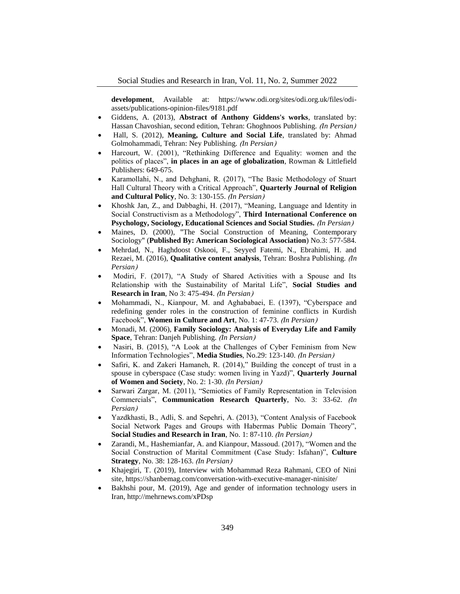**development**, Available at: https://www.odi.org/sites/odi.org.uk/files/odiassets/publications-opinion-files/9181.pdf

- Giddens, A. (2013), **Abstract of Anthony Giddens's works**, translated by: Hassan Chavoshian, second edition, Tehran: Ghoghnoos Publishing. *(In Persian)*
- Hall, S. (2012), **Meaning, Culture and Social Life**, translated by: Ahmad Golmohammadi, Tehran: Ney Publishing. (In Persian)
- Harcourt, W. (2001), "Rethinking Difference and Equality: women and the politics of places", **in places in an age of globalization**, Rowman & Littlefield Publishers: 649-675.
- Karamollahi, N., and Dehghani, R. (2017), "The Basic Methodology of Stuart Hall Cultural Theory with a Critical Approach", **Quarterly Journal of Religion**  and Cultural Policy, No. 3: 130-155. *(In Persian)*
- Khoshk Jan, Z., and Dabbaghi, H. (2017), "Meaning, Language and Identity in Social Constructivism as a Methodology", **Third International Conference on Psychology, Sociology, Educational Sciences and Social Studies.** *(In Persian)*
- Maines, D. (2000), "The Social Construction of Meaning, Contemporary Sociology" (**Published By: American Sociological Association**) No.3: 577-584.
- Mehrdad, N., Haghdoost Oskooi, F., Seyyed Fatemi, N., Ebrahimi, H. and Rezaei, M. (2016), **Qualitative content analysis**, Tehran: Boshra Publishing. *(In Persian*)
- Modiri, F. (2017), "A Study of Shared Activities with a Spouse and Its Relationship with the Sustainability of Marital Life", **Social Studies and Research in Iran**, No 3: 475-494. *(In Persian)*
- Mohammadi, N., Kianpour, M. and Aghababaei, E. (1397), "Cyberspace and redefining gender roles in the construction of feminine conflicts in Kurdish Facebook", **Women in Culture and Art**, No. 1: 47-73. *(In Persian)*
- Monadi, M. (2006), **Family Sociology: Analysis of Everyday Life and Family Space**, Tehran: Danjeh Publishing. *(In Persian)*
- Nasiri, B. (2015), "A Look at the Challenges of Cyber Feminism from New Information Technologies", Media Studies, No.29: 123-140. (In Persian)
- Safiri, K. and Zakeri Hamaneh, R. (2014)," Building the concept of trust in a spouse in cyberspace (Case study: women living in Yazd)", **Quarterly Journal of Women and Society**, No. 2: 1-30. *(In Persian)*
- Sarwari Zargar, M. (2011), "Semiotics of Family Representation in Television Commercials", **Communication Research Quarterly**, No. 3: 33-62. *(In Persian*)
- Yazdkhasti, B., Adli, S. and Sepehri, A. (2013), "Content Analysis of Facebook Social Network Pages and Groups with Habermas Public Domain Theory", **Social Studies and Research in Iran**, No. 1: 87-110. *(In Persian)*
- Zarandi, M., Hashemianfar, A. and Kianpour, Massoud. (2017), "Women and the Social Construction of Marital Commitment (Case Study: Isfahan)", **Culture Strategy**, No. 38: 128-163. *(In Persian)*
- Khajegiri, T. (2019), Interview with Mohammad Reza Rahmani, CEO of Nini site, https://shanbemag.com/conversation-with-executive-manager-ninisite/
- Bakhshi pour, M. (2019), Age and gender of information technology users in Iran, http://mehrnews.com/xPDsp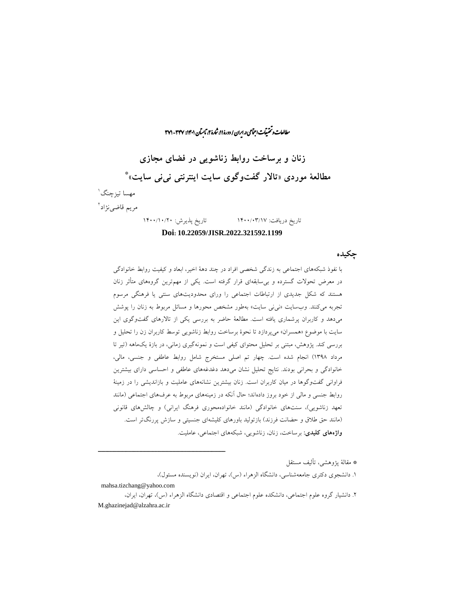#### راان و تحقیقات اجتماعی د.ایران / دورهٔ ۱۱، شارهٔ ۲، نابسآن ۱۴۰۱: ۳۴۷ - ۳۷۱ ما ش

**زنان و برساخت روابط زناشویی در فضای مجازی** \* **مطالعۀ موردی »تاالر گفتوگوی سایت اینترنتی نینی سایت«** 1 مهسا تیزچنگ مریم قاضینژاد<sup>ا</sup> تاریخ دریافت: 1400/03/17 تاریخ پذیرش: 1400/10/20

**Doi: 10.22059/JISR.2022.321592.1199**

**چکیده**

با نفوذ شبکههای اجتماعی به زندگی شخصی افراد در چند دهۀ اخیر، ابعاد و کیفیت روابط خانوادگی در معرض تحوالت گسترده و بیسابقهای قرار گرفته است. یکی از مهمترین گروههای متأثر زنان هستند که شکل جدیدی از ارتباطات اجتماعی را ورای محدودیتهای سنتی یا فرهنگی مرسوم تجربه میکنند. وبسایت »نینی سایت« بهطور مشخص محورها و مسائل مربوط به زنان را پوشش میدهد و کاربران پرشماری یافته است. مطالعۀ حاضر به بررسی یکی از تاالرهای گفتوگوی این سایت با موضوع »همسران« میپردازد تا نحوۀ برساخت روابط زناشویی توسط کاربران زن را تحلیل و بررسی کند. پژوهش، مبتنی بر تحلیل محتوای کیفی است و نمونهگیری زمانی، در بازۀ یکماهه )تیر تا مرداد 1398( انجام شده است. چهار تم اصلی مستخرج شامل روابط عاطفی و جنسی، مالی، خانوادگی و بحرانی بودند. نتایج تحلیل نشان میدهد دغدغههای عاطفی و احساسی دارای بیشترین فراوانی گفتوگوها در میان کاربران است. زنان بیشترین نشانههای عاملیت و بازاندیشی را در زمینۀ روابط جنسی و مالی از خود بروز دادهاند؛ حال آنکه در زمینههای مربوط به عرفهای اجتماعی )مانند تعهد زناشویی)، سنتهای خانوادگی (مانند خانوادهمحوری فرهنگ ایرانی) و چالشهای قانونی )مانند حق طالق و حضانت فرزند( بازتولید باورهای کلیشهای جنسیتی و سازش پررنگتر است. **واژههای کلیدی:** برساخت، زنان، زناشویی، شبکههای اجتماعی، عاملیت.

\* مقالۀ پژوهشی، تألیف مستقل .1 دانشجوی دکتری جامعهشناسی، دانشگاه الزهراء )س(، تهران، ایران )نویسنده مسئول(، mahsa.tizchang@yahoo.com

ــــــــــــــــــــــــــــــــــــــــــــــــــــــــــــــــــــــــــــــــــــــــــــــــــــــــــــــــــــــــــــــــــــــــــــــــ

.2 دانشیار گروه علوم اجتماعی، دانشکده علوم اجتماعی و اقتصادی دانشگاه الزهراء )س(، تهران، ایران، M.ghazinejad@alzahra.ac.ir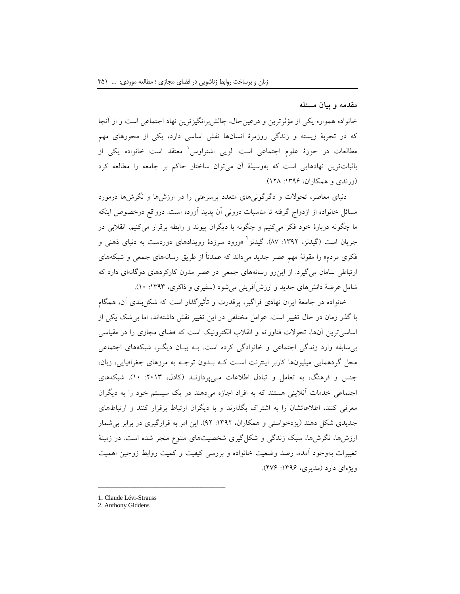#### **مقدمه و بیان مسئله**

خانواده همواره یکی از مؤثرترین و درعینحال، چالشبرانگیزترین نهاد اجتماعی است و از آنجا که در تجربۀ زیسته و زندگی روزمرۀ انسانها نقش اساسی دارد، یکی از محورهای مهم مطالعات در حوزهٔ علوم اجتماعی است. لویی اشتراوس<sup>٬</sup> معتقد است خانواده یکی از باثباتترین نهادهایی است که بهوسیلۀ آن میتوان ساختار حاکم بر جامعه را مطالعه کرد )زرندی و همکاران، :1396 128(.

دنیای معاصر، تحوالت و دگرگونیهای متعدد پرسرعتی را در ارزشها و نگرشها درمورد مسائل خانواده از ازدواج گرفته تا مناسبات درونی آن پدید آورده است. درواقع درخصوص اینکه ما چگونه دربارۀ خود فکر میکنیم و چگونه با دیگران پیوند و رابطه برقرار میکنیم، انقالبی در جریان است (گیدنز، ۱۳۹۲: ۸۷). گیدنز<sup>1</sup> «ورود سرزدۀ رویدادهای دوردست به دنیای ذهنی و فکری مردم« را مقولۀ مهم عصر جدید میداند که عمدتاً از طریق رسانههای جمعی و شبکههای ارتباطی سامان میگیرد. از اینرو رسانههای جمعی در عصر مدرن کارکردهای دوگانهای دارد که شامل عرضۀ دانشهای جدید و ارزشآفرینی میشود )سفیری و ذاکری، :1393 10(.

خانواده در جامعۀ ایران نهادی فراگیر، پرقدرت و تأثیرگذار است که شکلبندی آن، همگام با گذر زمان در حال تغییر است. عوامل مختلفی در این تغییر نقش داشتهاند، اما بیشک یکی از اساسیترین آنها، تحوالت فناورانه و انقالب الکترونیک است که فضای مجازی را در مقیاسی بیسابقه وارد زندگی اجتماعی و خانوادگی کرده است. بـه بیـان دیگـر، شبکههای اجتماعی محل گردهمایی میلیونها کاربر اینترنت اسـت کـه بـدون توجـه به مرزهای جغرافیایی، زبان، جنس و فرهنگ، به تعامل و تبادل اطالعات مـیپردازنـد )کادل، :2013 10(. شبکههای اجتماعی خدمات آنالینی هستند که به افراد اجازه میدهند در یک سیستم خود را به دیگران معرفی کنند، اطالعاتشان را به اشتراک بگذارند و با دیگران ارتباط برقرار کنند و ارتباطهای جدیدی شکل دهند (یزدخواستی و همکاران، ۱۳۹۲: ۹۲). این امر به قرارگیری در برابر بی شمار ارزش ها، نگرش ها، سبک زندگی و شکل گیری شخصیتهای متنوع منجر شده است. در زمینۀ تغییرات بهوجود آمده، رصد وضعیت خانواده و بررسی کیفیت و کمیت روابط زوجین اهمیت ویژهای دارد (مدیری، ۱۳۹۶: ۴۷۶).

<sup>1</sup>. Claude Lévi-Strauss

<sup>2.</sup> Anthony Giddens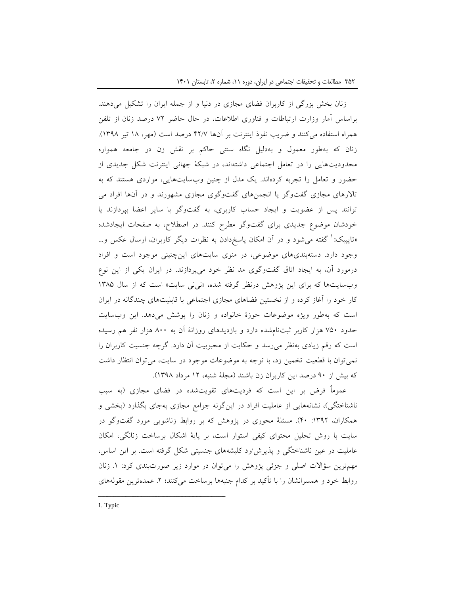زنان بخش بزرگی از کاربران فضای مجازی در دنیا و از جمله ایران را تشکیل میدهند. براساس آمار وزارت ارتباطات و فناوری اطالعات، در حال حاضر 72 درصد زنان از تلفن همراه استفاده میکنند و ضریب نفوذ اینترنت بر آنها 42/7 درصد است )مهر، 18 تیر 1398(. زنان که بهطور معمول و بهدلیل نگاه سنتی حاکم بر نقش زن در جامعه همواره محدودیتهایی را در تعامل اجتماعی داشتهاند، در شبکۀ جهانی اینترنت شکل جدیدی از حضور و تعامل را تجربه کردهاند. یک مدل از چنین وبسایتهایی، مواردی هستند که به تاالرهای مجازی گفتوگو یا انجمنهای گفتوگوی مجازی مشهورند و در آنها افراد می توانند پس از عضویت و ایجاد حساب کاربری، به گفتوگو با سایر اعضا بپردازند یا خودشان موضوع جدیدی برای گفتوگو مطرح کنند. در اصطالح، به صفحات ایجادشده »تایپیک« 1 گفته میشود و در آن امکان پاسخدادن به نظرات دیگر کاربران، ارسال عکس و... وجود دارد. دستهبندیهای موضوعی، در منوی سایتهای اینچنینی موجود است و افراد درمورد آن، به ایجاد اتاق گفتوگوی مد نظر خود میپردازند. در ایران یکی از این نوع وبسایتها که برای این پژوهش درنظر گرفته شده، «نی نی سایت» است که از سال ۱۳۸۵ کار خود را آغاز کرده و از نخستین فضاهای مجازی اجتماعی با قابلیتهای چندگانه در ایران است که بهطور ویژه موضوعات حوزۀ خانواده و زنان را پوشش میدهد. این وبسایت حدود 750 هزار کاربر ثبتنامشده دارد و بازدیدهای روزانۀ آن به 800 هزار نفر هم رسیده است که رقم زیادی بهنظر میرسد و حکایت از محبوبیت آن دارد. گرچه جنسیت کاربران را نمیتوان با قطعیت تخمین زد، با توجه به موضوعات موجود در سایت، میتوان انتظار داشت که بیش از 90 درصد این کاربران زن باشند )مجلۀ شنبه، 12 مرداد 1398(.

عموماً فرض بر این است که فردیتهای تقویتشده در فضای مجازی )به سبب ناشناختگی)، نشانههایی از عاملیت افراد در اینگونه جوامع مجازی بهجای بگذارد (بخشی و همکاران، :1392 40(. مسئلۀ محوری در پژوهش که بر روابط زناشویی مورد گفتوگو در سایت با روش تحلیل محتوای کیفی استوار است، بر پایۀ اشکال برساخت زنانگی، امکان عاملیت در عین ناشناختگی و پذیرش/رد کلیشههای جنسیتی شکل گرفته است. بر این اساس، مهمترین سؤاالت اصلی و جزئی پژوهش را میتوان در موارد زیر صورتبندی کرد: .1 زنان روابط خود و همسرانشان را با تأکید بر کدام جنبهها برساخت میکنند؛ ۲. عمدهترین مقولههای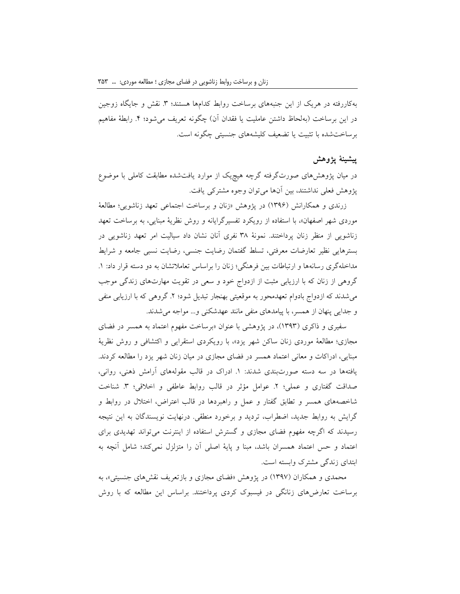بهکاررفته در هریک از این جنبههای برساخت روابط کدامها هستند؛ ۳. نقش و جایگاه زوجین در این برساخت (بهلحاظ داشتن عاملیت یا فقدان آن) چگونه تعریف میشود؛ ۴. رابطۀ مفاهیم برساختشده با تثبیت یا تضعیف کلیشههای جنسیتی چگونه است.

## **پیشینۀ پژوهش**

در میان پژوهشهای صورتگرفته گرچه هیچیک از موارد یافتشده مطابقت کاملی با موضوع پژوهش فعلی نداشتند، بین آنها میتوان وجوه مشترکی یافت.

زرندی و همکارانش )1396( در پژوهش »زنان و برساخت اجتماعی تعهد زناشویی؛ مطالعۀ موردی شهر اصفهان«، با استفاده از رویکرد تفسیرگرایانه و روش نظریۀ مبنایی، به برساخت تعهد زناشویی از منظر زنان پرداختند. نمونۀ 38 نفری آنان نشان داد سیالیت امر تعهد زناشویی در بسترهایی نظیر تعارضات معرفتی، تسلط گفتمان رضایت جنسی، رضایت نسبی جامعه و شرایط مداخلهگری رسانهها و ارتباطات بین فرهنگی؛ زنان را براساس تعامالتشان به دو دسته قرار داد: .1 گروهی از زنان که با ارزیابی مثبت از ازدواج خود و سعی در تقویت مهارتهای زندگی موجب میشدند که ازدواج بادوام تعهدمحور به موقعیتی بهنجار تبدیل شود؛ ۲. گروهی که با ارزیابی منفی و جدایی پنهان از همسر، با پیامدهای منفی مانند عهدشکنی و... مواجه میشدند.

سفیری و ذاکری (۱۳۹۳)، در پژوهشی با عنوان «برساخت مفهوم اعتماد به همسر در فضای مجازی؛ مطالعۀ موردی زنان ساکن شهر یزد«، با رویکردی استقرایی و اکتشافی و روش نظریۀ مبنایی، ادراکات و معانی اعتماد همسر در فضای مجازی در میان زنان شهر یزد را مطالعه کردند. یافتهها در سه دسته صورتبندی شدند: .1 ادراک در قالب مقولههای آرامش ذهنی، روانی، صداقت گفتاری و عملی؛ ٢. عوامل مؤثر در قالب روابط عاطفی و اخلاقی؛ ٣. شناخت شاخصههای همسر و تطابق گفتار و عمل و راهبردها در قالب اعتراض، اختالل در روابط و گرایش به روابط جدید، اضطراب، تردید و برخورد منطقی. درنهایت نویسندگان به این نتیجه رسیدند که اگرچه مفهوم فضای مجازی و گسترش استفاده از اینترنت میتواند تهدیدی برای اعتماد و حس اعتماد همسران باشد، مبنا و پایۀ اصلی آن را متزلزل نمیکند؛ شامل آنچه به ابتدای زندگی مشترک وابسته است.

محمدی و همکاران )1397( در پژوهش »فضای مجازی و بازتعریف نقشهای جنسیتی«، به برساخت تعارضهای زنانگی در فیسبوک کردی پرداختند. براساس این مطالعه که با روش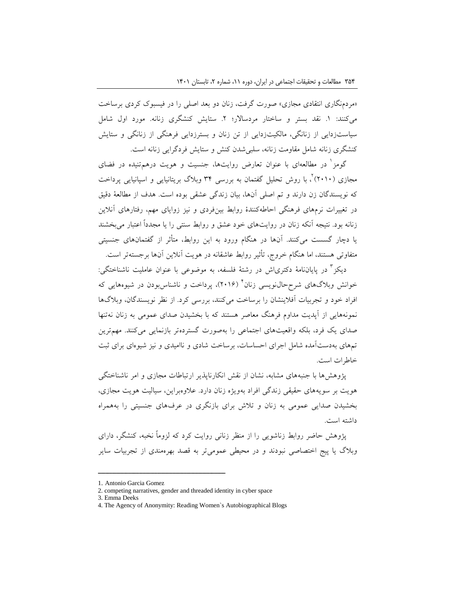«مردمنگاری انتقادی مجازی» صورت گرفت، زنان دو بعد اصلی را در فیسبوک کردی برساخت میکنند: .1 نقد بستر و ساختار مردساالر؛ .2 ستایش کنشگری زنانه. مورد اول شامل سیاستزدایی از زنانگی، مالکیتزدایی از تن زنان و بسترزدایی فرهنگی از زنانگی و ستایش کنشگری زنانه شامل مقاومت زنانه، سلبیشدن کنش و ستایش فردگرایی زنانه است.

گومز<sup>ا</sup> در مطالعهای با عنوان تعارض روایتها، جنسیت و هویت درهمتنیده در فضای مجازی (۲۰۱۰)<sup>۲</sup>، با روش تحلیل گفتمان به بررسی ۳۴ وبلاگ بریتانیایی و اسپانیایی پرداخت که نویسندگان زن دارند و تم اصلی آنها، بیان زندگی عشقی بوده است. هدف از مطالعۀ دقیق در تغییرات نرمهای فرهنگی احاطهکنندۀ روابط بینفردی و نیز زوایای مهم، رفتارهای آنالین زنانه بود. نتیجه آنکه زنان در روایتهای خود عشق و روابط سنتی را یا مجدداً اعتبار میبخشند یا دچار گسست میکنند. آنها در هنگام ورود به این روابط، متأثر از گفتمانهای جنسیتی متفاوتی هستند، اما هنگام خروج، تأثیر روابط عاشقانه در هویت آنالین آنها برجستهتر است.

دیکز<sup>۲</sup> در پایاننامۀ دکتریاش در رشتۀ فلسفه، به موضوعی با عنوان عاملیت ناشناختگی: خوانش وبلاگهای شرححال $\mathrm{i}$ نویسی زنان $^{\prime}$  (۲۰۱۶)، پرداخت و ناشناس $\mathrm{u}$ بودن در شیوههایی که افراد خود و تجربیات آفالینشان را برساخت میکنند، بررسی کرد. از نظر نویسندگان، وبالگها نمونههایی از آپدیت مداوم فرهنگ معاصر هستند که با بخشیدن صدای عمومی به زنان نهتنها صدای یک فرد، بلکه واقعیتهای اجتماعی را بهصورت گستردهتر بازنمایی میکنند. مهمترین تمهای بهدستآمده شامل اجرای احساسات، برساخت شادی و ناامیدی و نیز شیوهای برای ثبت خاطرات است.

پژوهشها با جنبههای مشابه، نشان از نقش انکارناپذیر ارتباطات مجازی و امر ناشناختگی هویت بر سویههای حقیقی زندگی افراد بهویژه زنان دارد. عالوهبراین، سیالیت هویت مجازی، بخشیدن صدایی عمومی به زنان و تالش برای بازنگری در عرفهای جنسیتی را بههمراه داشته است.

پژوهش حاضر روابط زناشویی را از منظر زنانی روایت کرد که لزوماً نخبه، کنشگر، دارای وبالگ یا پیج اختصاصی نبودند و در محیطی عمومیتر به قصد بهرهمندی از تجربیات سایر

<sup>1</sup>. Antonio Garcia Gomez

<sup>2.</sup> competing narratives, gender and threaded identity in cyber space

<sup>3.</sup> Emma Deeks

<sup>4.</sup> The Agency of Anonymity: Reading Women`s Autobiographical Blogs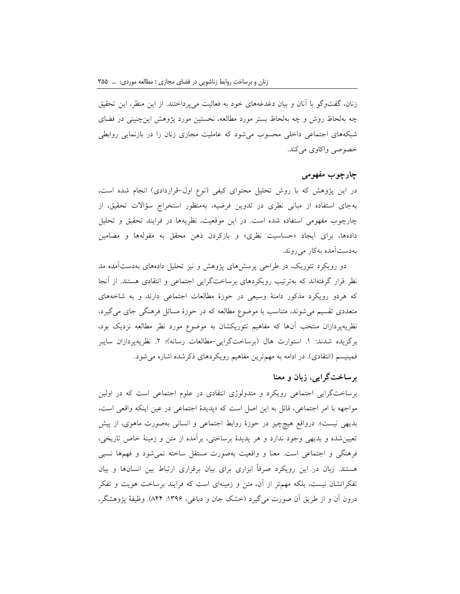زنان، گفتوگو با آنان و بیان دغدغههای خود به فعالیت میپرداختند. از این منظر، این تحقیق چه بهلحاظ روش و چه بهلحاظ بستر مورد مطالعه، نخستین مورد پژوهش اینچنینی در فضای شبکههای اجتماعی داخلی محسوب میشود که عاملیت مجازی زنان را در بازنمایی روابطی خصوصی واکاوی میکند.

# **چارچوب مفهومی**

در این پژوهش که با روش تحلیل محتوای کیفی (نوع اول-قراردادی) انجام شده است، بهجای استفاده از مبانی نظری در تدوین فرضیه، بهمنظور استخراج سؤاالت تحقیق، از چارچوب مفهومی استفاده شده است. در این موقعیت، نظریهها در فرایند تحقیق و تحلیل دادهها، برای ایجاد «حساسیت نظری» و بازکردن ذهن محقق به مقولهها و مضامین بهدستآمده بهکار میروند.

دو رویکرد تئوریک، در طراحی پرسشهای پژوهش و نیز تحلیل دادههای بهدستآمده مد نظر قرار گرفتهاند که بهترتیب رویکردهای برساختگرایی اجتماعی و انتقادی هستند. از آنجا که هردو رویکرد مذکور دامنۀ وسیعی در حوزۀ مطالعات اجتماعی دارند و به شاخههای متعددی تقسیم میشوند، متناسب با موضوع مطالعه که در حوزۀ مسائل فرهنگی جای میگیرد، نظریهپردازان منتخب آنها که مفاهیم تئوریکشان به موضوع مورد نظر مطالعه نزدیک بود، برگزیده شدند: ۱. استوارت هال (برساختگرایی-مطالعات رسانه)؛ ۲. نظریهپردازان سایبر فمینیسم (انتقادی). در ادامه به مهمترین مفاهیم رویکردهای ذکرشده اشاره می شود.

# **برساختگرایی، زبان و معنا**

برساختگرایی اجتماعی رویکرد و متدولوژی انتقادی در علوم اجتماعی است که در اولین مواجهه با امر اجتماعی، قائل به این اصل است که »پدیدۀ اجتماعی در عین اینکه واقعی است، بدیهی نیست«. درواقع هیچچیز در حوزۀ روابط اجتماعی و انسانی بهصورت ماهوی، از پیش تعیینشده و بدیهی وجود ندارد و هر پدیدۀ برساختی، برآمده از متن و زمینۀ خاص تاریخی، فرهنگی و اجتماعی است. معنا و واقعیت بهصورت مستقل ساخته نمیشود و فهمها نسبی هستند. زبان در این رویکرد صرفاً ابزاری برای بیان برقراری ارتباط بین انسانها و بیان تفکراتشان نیست، بلکه مهمتر از آن، متن و زمینهای است که فرایند برساخت هویت و تفکر درون آن و از طریق آن صورت میگیرد (خشک جان و دباغی، ۱۳۹۶: ۸۴۴). وظیفۀ پژوهشگر،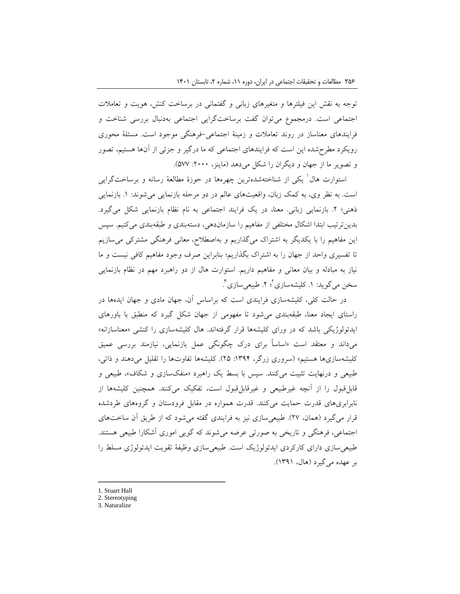توجه به نقش این فیلترها و متغیرهای زبانی و گفتمانی در برساخت کنش، هویت و تعامالت اجتماعی است. درمجموع میتوان گفت برساختگرایی اجتماعی بهدنبال بررسی شناخت و فرایندهای معناساز در روند تعامالت و زمینۀ اجتماعی-فرهنگی موجود است. مسئلۀ محوری رویکرد مطرحشده این است که فرایندهای اجتماعی که ما درگیر و جزئی از آنها هستیم، تصور و تصویر ما از جهان و دیگران را شکل می دهد (ماینز، ۲۰۰۰: ۵۷۷).

ستوارت هال<sup>۱</sup> یکی از شناختهشدهترین چهرهها در حوزۀ مطالعۀ رسانه و برساختگرایی است. به نظر وی، به کمک زبان، واقعیتهای عالم در دو مرحله بازنمایی میشوند: .1 بازنمایی ذهنی؛ ۲. بازنمایی زبانی. معنا، در یک فرایند اجتماعی به نام نظام بازنمایی شکل میگیرد. بدینترتیب ابتدا اشکال مختلفی از مفاهیم را سازماندهی، دستهبندی و طبقهبندی میکنیم. سپس این مفاهیم را با یکدیگر به اشتراک میگذاریم و بهاصطالح، معانی فرهنگی مشترکی میسازیم تا تفسیری واحد از جهان را به اشتراک بگذاریم؛ بنابراین صرف وجود مفاهیم کافی نیست و ما نیاز به مبادله و بیان معانی و مفاهیم داریم. استوارت هال از دو راهبرد مهم در نظام بازنمایی سخن میگوید: ۱. کلیشهسازی<sup>؟</sup>؛ ۲. طبیعیسازی ٔ .

در حالت کلی، کلیشهسازی فرایندی است که براساس آن، جهان مادی و جهان ایدهها در راستای ایجاد معنا، طبقهبندی میشود تا مفهومی از جهان شکل گیرد که منطبق با باورهای ایدئولوژیکی باشد که در ورای کلیشهها قرار گرفتهاند. هال کلیشهسازی را کنشی »معناسازانه« میداند و معتقد است »اساساً برای درک چگونگی عمل بازنمایی، نیازمند بررسی عمیق کلیشهسازیها هستیم« )سروری زرگر، :1394 25(. کلیشهها تفاوتها را تقلیل میدهند و ذاتی، طبیعی و درنهایت تثبیت میکنند. سپس با بسط یک راهبرد »منفکسازی و شکاف«، طبیعی و قابلقبول را از آنچه غیرطبیعی و غیرقابلقبول است، تفکیک میکنند. همچنین کلیشهها از نابرابریهای قدرت حمایت میکنند. قدرت همواره در مقابل فرودستان و گروههای طردشده قرار می گیرد (همان، ۲۷). طبیعی سازی نیز به فرایندی گفته می شود که از طریق آن ساختهای اجتماعی، فرهنگی و تاریخی به صورتی عرضه میشوند که گویی اموری آشکارا طبیعی هستند. طبیعیسازی دارای کارکردی ایدئولوژیک است. طبیعیسازی وظیفۀ تقویت ایدئولوژی مسلط را بر عهده میگیرد )هال، 1391(.

- 1. Stuart Hall
- 2. Stereotyping

ــــــــــــــــــــــــــــــــــــــــــــــــــــــــــــــــــــــــــــــــــــــــــــــــــــــــــــــــــــــــــــــــــــــــــــــــ

3. Naturalize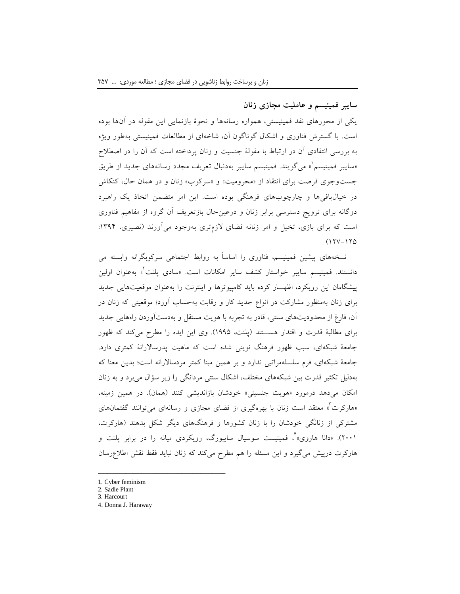# **سایبر فمینیسم و عاملیت مجازی زنان**

یکی از محورهای نقد فمینیستی، همواره رسانهها و نحوۀ بازنمایی این مقوله در آنها بوده است. با گسترش فناوری و اشکال گوناگون آن، شاخهای از مطالعات فمینیستی بهطور ویژه به بررسی انتقادی آن در ارتباط با مقولۀ جنسیت و زنان پرداخته است که آن را در اصطالح <sub>ا</sub>سایبر فمینیسم ْ» میگویند. فمینیسم سایبر بهدنبال تعریف مجدد رسانههای جدید از طریق جستوجوی فرصت برای انتقاد از »محرومیت« و »سرکوب« زنان و در همان حال، کنکاش در خیالبافیها و چارچوبهای فرهنگی بوده است. این امر متضمن اتخاذ یک راهبرد دوگانه برای ترویج دسترسی برابر زنان و درعینحال بازتعریف آن گروه از مفاهیم فناوری است که برای بازی، تخیل و امر زنانه فضای الزمتری بهوجود میآورند )نصیری، :1394  $(17V-170$ 

نسخههای پیشین فمینیسم، فناوری را اساساً به روابط اجتماعی سرکوبگرانه وابسته می دانستند. فمینیسم سایبر خواستار کشف سایر امکانات است. «سادی پلنت<sup>۲</sup>» بهعنوان اولین پیشگامان این رویکرد، اظهــار کرده باید کامپیوترها و اینترنت را بهعنوان موقعیتهایی جدید برای زنان بهمنظور مشارکت در انواع جدید کار و رقابت بهحساب آورد؛ موقعیتی که زنان در آن، فارغ از محدودیتهای سنتی، قادر به تجربه با هویت مستقل و بهدستآوردن راههایی جدید برای مطالبۀ قدرت و اقتدار هســتند )پلنت، 1995(. وی این ایده را مطرح میکند که ظهور جامعۀ شبکهای، سبب ظهور فرهنگ نوینی شده است که ماهیت پدرساالرانۀ کمتری دارد. جامعۀ شبکهای، فرم سلسلهمراتبی ندارد و بر همین مبنا کمتر مردساالرانه است؛ بدین معنا که بهدلیل تکثیر قدرت بین شبکههای مختلف، اشکال سنتی مردانگی را زیر سؤال میبرد و به زنان امکان میدهد درمورد «هویت جنسیتی» خودشان بازاندیشی کنند (همان). در همین زمینه، »هارکرت 3 « معتقد است زنان با بهرهگیری از فضای مجازی و رسانهای میتوانند گفتمانهای مشترکی از زنانگی خودشان را با زنان کشورها و فرهنگهای دیگر شکل بدهند )هارکرت، ۲۰۰۱). «دانا هاروی»<sup>۲</sup>، فمینیست سوسیال سایبورگ، رویکردی میانه را در برابر پلنت و هارکرت درپیش میگیرد و این مسئله را هم مطرح میکند که زنان نباید فقط نقش اطالعرسان

1. Cyber feminism

<sup>2.</sup> Sadie Plant

<sup>3.</sup> Harcourt

<sup>4</sup>. Donna J. Haraway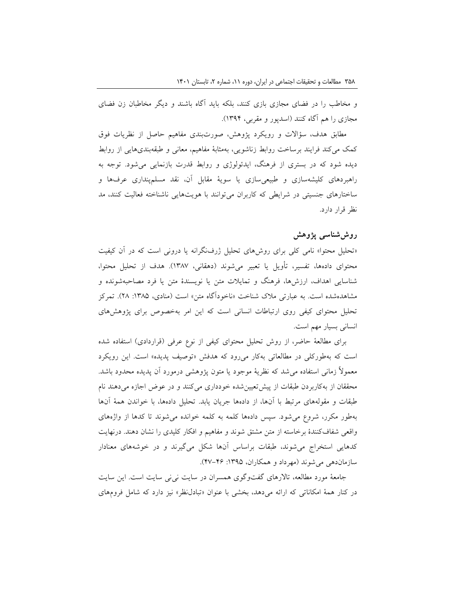و مخاطب را در فضای مجازی بازی کنند، بلکه باید آگاه باشند و دیگر مخاطبان زن فضای مجازی را هم آگاه کنند )اسدپور و مقربی، 1394(.

مطابق هدف، سؤاالت و رویکرد پژوهش، صورتبندی مفاهیم حاصل از نظریات فوق کمک میکند فرایند برساخت روابط زناشویی، بهمثابۀ مفاهیم، معانی و طبقهبندیهایی از روابط دیده شود که در بستری از فرهنگ، ایدئولوژی و روابط قدرت بازنمایی میشود. توجه به راهبردهای کلیشهسازی و طبیعیسازی یا سویۀ مقابل آن، نقد مسلمپنداری عرفها و ساختارهای جنسیتی در شرایطی که کاربران میتوانند با هویتهایی ناشناخته فعالیت کنند، مد نظر قرار دارد.

# **روششناسی پژوهش**

»تحلیل محتوا« نامی کلی برای روشهای تحلیل ژرفنگرانه یا درونی است که در آن کیفیت محتوای دادهها، تفسیر، تأویل یا تعبیر میشوند )دهقانی، 1387(. هدف از تحلیل محتوا، شناسایی اهداف، ارزشها، فرهنگ و تمایالت متن یا نویسندۀ متن یا فرد مصاحبهشونده و مشاهدهشده است. به عبارتی ملاک شناخت «ناخودآگاه متن» است (منادی، ۱۳۸۵: ۲۸). تمرکز تحلیل محتوای کیفی روی ارتباطات انسانی است که این امر بهخصوص برای پژوهشهای انسانی بسیار مهم است.

برای مطالعۀ حاضر، از روش تحلیل محتوای کیفی از نوع عرفی )قراردادی( استفاده شده است که بهطورکلی در مطالعاتی بهکار میرود که هدفش »توصیف پدیده« است. این رویکرد معموالً زمانی استفاده میشد که نظریۀ موجود یا متون پژوهشی درمورد آن پدیده محدود باشد. محققان از بهکاربردن طبقات از پیشتعیینشده خودداری میکنند و در عوض اجازه میدهند نام طبقات و مقولههای مرتبط با آنها، از دادهها جریان یابد. تحلیل دادهها، با خواندن همۀ آنها بهطور مکرر، شروع میشود. سپس دادهها کلمه به کلمه خوانده میشوند تا کدها از واژههای واقعی شفافکنندۀ برخاسته از متن مشتق شوند و مفاهیم و افکار کلیدی را نشان دهند. درنهایت کدهایی استخراج میشوند، طبقات براساس آنها شکل میگیرند و در خوشههای معنادار سازماندهی میشوند )مهرداد و همکاران، :1395 47-46(.

جامعۀ مورد مطالعه، تاالرهای گفتوگوی همسران در سایت نینی سایت است. این سایت در کنار همۀ امکاناتی که ارائه میدهد، بخشی با عنوان »تبادلنظر« نیز دارد که شامل فرومهای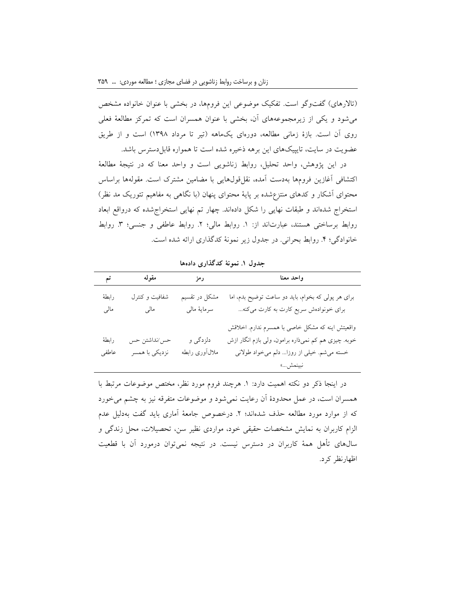(تالارهای) گفتوگو است. تفکیک موضوعی این فرومها، در بخشی با عنوان خانواده مشخص میشود و یکی از زیرمجموعههای آن، بخشی با عنوان همسران است که تمرکز مطالعۀ فعلی روی آن است. بازۀ زمانی مطالعه، دورهای یکماهه )تیر تا مرداد 1398( است و از طریق عضویت در سایت، تایپیکهای این برهه ذخیره شده است تا همواره قابل دسترس باشد.

در این پژوهش، واحد تحلیل، روابط زناشویی است و واحد معنا که در نتیجۀ مطالعۀ اکتشافی آغازین فرومها بهدست آمده، نقلقولهایی با مضامین مشترک است. مقولهها براساس محتوای آشکار و کدهای منتزعشده بر پایۀ محتوای پنهان )با نگاهی به مفاهیم تئوریک مد نظر( استخراج شدهاند و طبقات نهایی را شکل دادهاند. چهار تم نهایی استخراجشده که درواقع ابعاد روابط برساختی هستند، عبارتاند از: ١. روابط مالی؛ ٢. روابط عاطفی و جنسی؛ ٣. روابط خانوادگی؛ ۴. روابط بحرانی. در جدول زیر نمونۀ کدگذاری ارائه شده است.

| تم             | مقوله                          | رمز                           | واحد معنا                                                                                                                                                        |
|----------------|--------------------------------|-------------------------------|------------------------------------------------------------------------------------------------------------------------------------------------------------------|
| رابطة<br>مالي  | شفافیت و کنترل<br>مالبي        | مشکل در تقسیم<br>سرمايهٔ مالي | برای هر پولی که بخوام، باید دو ساعت توضیح بدم، اما<br>برای خونوادهش سریع کارت به کارت میکنه                                                                      |
| رابطة<br>عاطفى | حس/نداشتن حس<br>نزدیکی با همسر | دلزدگي و<br>ملالأورى رابطه    | واقعیتش اینه که مشکل خاصی با همسرم ندارم. اخلاقش<br>خوبه. چیزی هم کم نمی(اره برامون، ولی بازم انگار ازش<br>خسته می شم. خیلی از روزا دلم میخواد طولانی<br>نبينمش» |

**جدول .1 نمونۀ کدگذاری دادهها**

در اینجا ذکر دو نکته اهمیت دارد: .1 هرچند فروم مورد نظر، مختص موضوعات مرتبط با همسران است، در عمل محدودۀ آن رعایت نمیشود و موضوعات متفرقه نیز به چشم میخورد که از موارد مورد مطالعه حذف شدهاند؛ .2 درخصوص جامعۀ آماری باید گفت بهدلیل عدم الزام کاربران به نمایش مشخصات حقیقی خود، مواردی نظیر سن، تحصیالت، محل زندگی و سالهای تأهل همۀ کاربران در دسترس نیست. در نتیجه نمیتوان درمورد آن با قطعیت اظهارنظر کرد.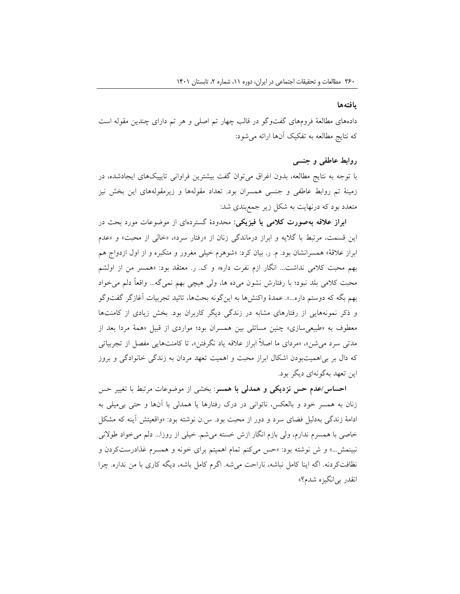#### **یافتهها**

دادههای مطالعۀ فرومهای گفتوگو در قالب چهار تم اصلی و هر تم دارای چندین مقوله است که نتایج مطالعه به تفکیک آنها ارائه میشود:

## **روابط عاطفی و جنسی**

با توجه به نتایج مطالعه، بدون اغراق میتوان گفت بیشترین فراوانی تایپیکهای ایجادشده، در زمینۀ تم روابط عاطفی و جنسی همسران بود. تعداد مقولهها و زیرمقولههای این بخش نیز متعدد بود که درنهایت به شکل زیر جمعبندی شد:

**ابراز عالقه بهصورت کالمی یا فیزیکی:** محدودۀ گستردهای از موضوعات مورد بحث در این قسمت، مرتبط با گالیه و ابراز درماندگی زنان از »رفتار سرد«، »خالی از محبت« و »عدم ابراز عالقۀ« همسرانشان بود. م. ر. بیان کرد: »شوهرم خیلی مغرور و متکبره و از اول ازدواج هم بهم محبت کالمی نداشت... انگار ازم نفرت داره« و ک. ر. معتقد بود: »همسر من از اولشم محبت کالمی بلد نبود؛ با رفتارش نشون میده ها، ولی هیچی بهم نمیگه... واقعاً دلم میخواد بهم بگه که دوستم داره...«. عمدۀ واکنشها به اینگونه بحثها، تائید تجربیات آغازگر گفتوگو و ذکر نمونههایی از رفتارهای مشابه در زندگی دیگر کاربران بود. بخش زیادی از کامنتها معطوف به «طبیعیسازی» چنین مسائلی بین همسران بود؛ مواردی از قبیل «همۀ مردا بعد از مدتی سرد میشن«، »مردای ما اصالً ابراز عالقه یاد نگرفتن«، تا کامنتهایی مفصل از تجربیاتی که دال بر بیاهمیتبودن اشکال ابراز محبت و اهمیت تعهد مردان به زندگی خانوادگی و بروز این تعهد بهگونهای دیگر بود.

**احساس/عدم حس نزدیکی و همدلی با همسر**: بخشی از موضوعات مرتبط با تغییر حس زنان به همسر خود و بالعکس، ناتوانی در درک رفتارها یا همدلی با آنها و حتی بیمیلی به ادامۀ زندگی بهدلیل فضای سرد و دور از محبت بود. س.ن نوشته بود: »واقعیتش آینه که مشکل خاصی با همسرم ندارم، ولی بازم انگار ازش خسته میشم. خیلی از روزا... دلم میخواد طوالنی نبینمش...« و ش نوشته بود: »حس میکنم تمام اهمیتم برای خونه و همسرم غذادرستکردن و نظافتکردنه. اگه اینا کامل نباشه، ناراحت میشه. اگرم کامل باشه، دیگه کاری با من نداره. چرا انقدر بیانگیزه شدم؟«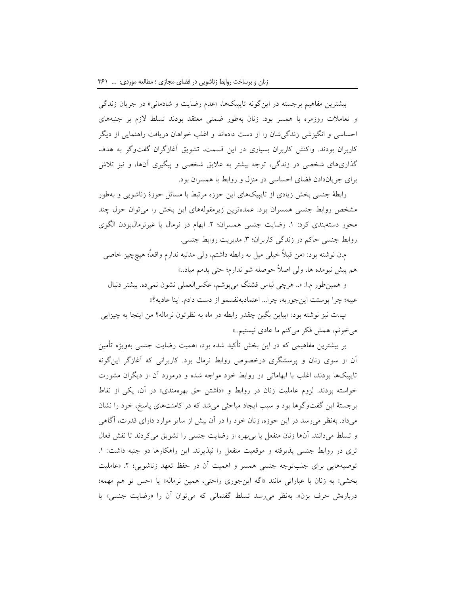بیشترین مفاهیم برجسته در اینگونه تایپیکها، «عدم رضایت و شادمانی» در جریان زندگی و تعامالت روزمره با همسر بود. زنان بهطور ضمنی معتقد بودند تسلط الزم بر جنبههای احساسی و انگیزشی زندگیشان را از دست دادهاند و اغلب خواهان دریافت راهنمایی از دیگر کاربران بودند. واکنش کاربران بسیاری در این قسمت، تشویق آغازگران گفتوگو به هدف گذاریهای شخصی در زندگی، توجه بیشتر به عالیق شخصی و پیگیری آنها، و نیز تالش برای جریاندادن فضای احساسی در منزل و روابط با همسران بود.

رابطۀ جنسی بخش زیادی از تایپیکهای این حوزه مرتبط با مسائل حوزۀ زناشویی و بهطور مشخص روابط جنسی همسران بود. عمدهترین زیرمقولههای این بخش را میتوان حول چند محور دستهبندی کرد: .1 رضایت جنسی همسران؛ .2 ابهام در نرمال یا غیرنرمالبودن الگوی روابط جنسی حاکم در زندگی کاربران؛ ٣. مدیریت روابط جنسی.

م.ن نوشته بود: »من قبالً خیلی میل به رابطه داشتم، ولی مدتیه ندارم واقعاً؛ هیچچیز خاصی هم پیش نیومده ها، ولی اصالً حوصله شو ندارم؛ حتی بدمم میاد..«

و همینطور م.ا: ».. هرچی لباس قشنگ میپوشم، عکسالعملی نشون نمیده. بیشتر دنبال عیبه؛ چرا پوستت اینجوریه، چرا... اعتمادبهنفسمو از دست دادم. اینا عادیه؟«

پ.ت نیز نوشته بود: »بیاین بگین چقدر رابطه در ماه به نظرتون نرماله؟ من اینجا یه چیزایی می خونم، همش فکر می کنم ما عادی نیستیم..»

بر بیشترین مفاهیمی که در این بخش تأکید شده بود، اهمیت رضایت جنسی بهویژه تأمین آن از سوی زنان و پرسشگری درخصوص روابط نرمال بود. کاربرانی که آغازگر اینگونه تایپیکها بودند، اغلب با ابهاماتی در روابط خود مواجه شده و درمورد آن از دیگران مشورت خواسته بودند. لزوم عاملیت زنان در روابط و »داشتن حق بهرهمندی« در آن، یکی از نقاط برجستۀ این گفتوگوها بود و سبب ایجاد مباحثی میشد که در کامنتهای پاسخ، خود را نشان میداد. بهنظر میرسد در این حوزه، زنان خود را در آن بیش از سایر موارد دارای قدرت، آگاهی و تسلط میدانند. آنها زنان منفعل یا بیبهره از رضایت جنسی را تشویق میکردند تا نقش فعال تری در روابط جنسی پذیرفته و موقعیت منفعل را نپذیرند. این راهکارها دو جنبه داشت: ١. توصیههایی برای جلبتوجه جنسی همسر و اهمیت آن در حفظ تعهد زناشویی؛ ۲. «عاملیت بخشی« به زنان با عباراتی مانند »اگه اینجوری راحتی، همین نرماله« یا »حس تو هم مهمه؛ دربارهش حرف بزن». بهنظر می رسد تسلط گفتمانی که می توان آن را «رضایت جنسی» یا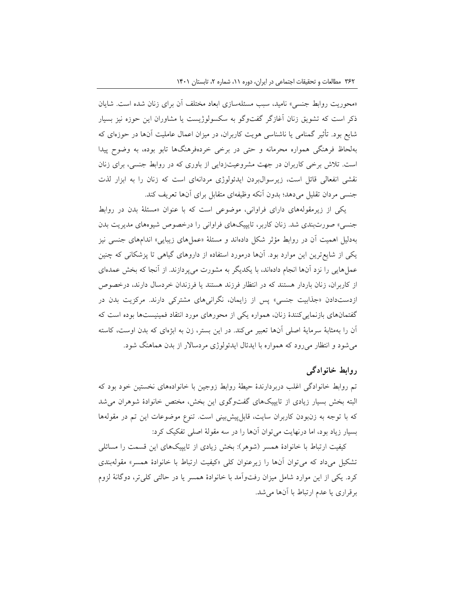»محوریت روابط جنسی« نامید، سبب مسئلهسازی ابعاد مختلف آن برای زنان شده است. شایان ذکر است که تشویق زنان آغازگر گفتوگو به سکسولوژیست یا مشاوران این حوزه نیز بسیار شایع بود. تأثیر گمنامی یا ناشناسی هویت کاربران، در میزان اعمال عاملیت آنها در حوزهای که بهلحاظ فرهنگی همواره محرمانه و حتی در برخی خردهفرهنگها تابو بوده، به وضوح پیدا است. تالش برخی کاربران در جهت مشروعیتزدایی از باوری که در روابط جنسی، برای زنان نقشی انفعالی قائل است، زیرسوالبردن ایدئولوژی مردانهای است که زنان را به ابزار لذت جنسی مردان تقلیل میدهد؛ بدون آنکه وظیفهای متقابل برای آنها تعریف کند.

یکی از زیرمقولههای دارای فراوانی، موضوعی است که با عنوان »مسئلۀ بدن در روابط جنسی« صورتبندی شد. زنان کاربر، تایپیکهای فراوانی را درخصوص شیوههای مدیریت بدن بهدلیل اهمیت آن در روابط مؤثر شکل دادهاند و مسئلۀ »عملهای زیبایی« اندامهای جنسی نیز یکی از شایعترین این موارد بود. آنها درمورد استفاده از داروهای گیاهی تا پزشکانی که چنین عملهایی را نزد آنها انجام دادهاند، با یکدیگر به مشورت میپردازند. از آنجا که بخش عمدهای از کاربران، زنان باردار هستند که در انتظار فرزند هستند یا فرزندان خردسال دارند، درخصوص ازدستدادن »جذابیت جنسی« پس از زایمان، نگرانیهای مشترکی دارند. مرکزیت بدن در گفتمانهای بازنماییکنندۀ زنان، همواره یکی از محورهای مورد انتقاد فمینیستها بوده است که آن را بهمثابۀ سرمایۀ اصلی آنها تعبیر میکند. در این بستر، زن به ابژهای که بدن اوست، کاسته میشود و انتظار میرود که همواره با ایدئال ایدئولوژی مردساالر از بدن هماهنگ شود.

# **روابط خانوادگی**

تم روابط خانوادگی اغلب دربردارندۀ حیطۀ روابط زوجین با خانوادههای نخستین خود بود که البته بخش بسیار زیادی از تایپیکهای گفتوگوی این بخش، مختص خانوادۀ شوهران میشد که با توجه به زنبودن کاربران سایت، قابلپیشبینی است. تنوع موضوعات این تم در مقولهها بسیار زیاد بود، اما درنهایت میتوان آنها را در سه مقولۀ اصلی تفکیک کرد:

کیفیت ارتباط با خانوادۀ همسر )شوهر(: بخش زیادی از تایپیکهای این قسمت را مسائلی تشکیل میداد که میتوان آنها را زیرعنوان کلی »کیفیت ارتباط با خانوادۀ همسر« مقولهبندی کرد. یکی از این موارد شامل میزان رفتوآمد با خانوادۀ همسر یا در حالتی کلیتر، دوگانۀ لزوم برقراری یا عدم ارتباط با آنها میشد.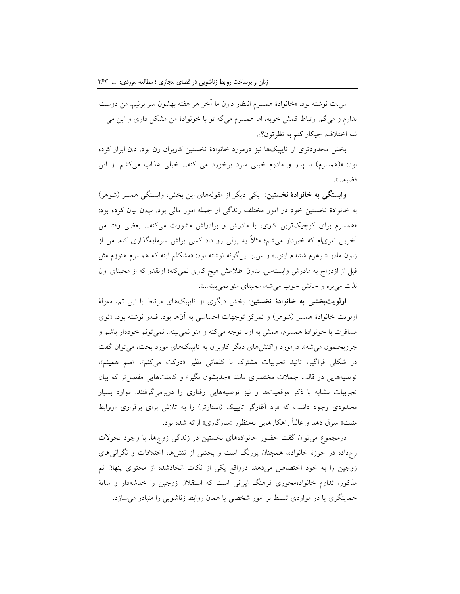س.ت نوشته بود: »خانوادۀ همسرم انتظار دارن ما آخر هر هفته بهشون سر بزنیم. من دوست ندارم و میگم ارتباط کمش خوبه، اما همسرم میگه تو با خونوادۀ من مشکل داری و این می شه اختالف. چیکار کنم به نظرتون؟«.

بخش محدودتری از تایپیکها نیز درمورد خانوادۀ نخستین کاربران زن بود. د.ن ابراز کرده بود: »)همسرم( با پدر و مادرم خیلی سرد برخورد می کنه... خیلی عذاب میکشم از این قضیه...«.

**وابستگی به خانوادۀ نخستین:** یکی دیگر از مقولههای این بخش، وابستگی همسر )شوهر( به خانوادۀ نخستین خود در امور مختلف زندگی از جمله امور مالی بود. ب.ن بیان کرده بود: »همسرم برای کوچیکترین کاری، با مادرش و برادراش مشورت میکنه... بعضی وقتا من آخرین نفریام که خبردار میشم؛ مثالً یه پولی رو داد کسی براش سرمایهگذاری کنه. من از زبون مادر شوهرم شنیدم اینو..« و س.ر اینگونه نوشته بود: »مشکلم اینه که همسرم هنوزم مثل قبل از ازدواج به مادرش وابستهس. بدون اطلاعش هیچ کاری نمیکنه؛ اونقدر که از محبتای اون لذت میبره و حالش خوب میشه، محبتای منو نمیبینه...«.

**اولویتبخشی به خانوادۀ نخستین:** بخش دیگری از تایپیکهای مرتبط با این تم، مقولۀ اولویت خانوادۀ همسر (شوهر) و تمرکز توجهات احساسی به آنها بود. ف.ر نوشته بود: «توی مسافرت با خونوادۀ همسرم، همش به اونا توجه میکنه و منو نمیبینه.. نمیتونم خوددار باشم و جروبحثمون میشه«. درمورد واکنشهای دیگر کاربران به تایپیکهای مورد بحث، میتوان گفت در شکلی فراگیر، تائید تجربیات مشترک با کلماتی نظیر »درکت میکنم«، »منم همینم«، توصیههایی در قالب جمالت مختصری مانند »جدیشون نگیر« و کامنتهایی مفصلتر که بیان تجربیات مشابه با ذکر موقعیتها و نیز توصیههایی رفتاری را دربرمیگرفتند. موارد بسیار محدودی وجود داشت که فرد آغازگر تایپیک (استارتر) را به تلاش برای برقراری «روابط مثبت» سوق دهد و غالباً راهکارهایی بهمنظور «سازگاری» ارائه شده بود.

درمجموع میتوان گفت حضور خانوادههای نخستین در زندگی زوجها، با وجود تحوالت رخداده در حوزۀ خانواده، همچنان پررنگ است و بخشی از تنشها، اختالفات و نگرانیهای زوجین را به خود اختصاص میدهد. درواقع یکی از نکات اتخاذشده از محتوای پنهان تم مذکور، تداوم خانوادهمحوری فرهنگ ایرانی است که استقالل زوجین را خدشهدار و سایۀ حمایتگری یا در مواردی تسلط بر امور شخصی یا همان روابط زناشویی را متبادر میسازد.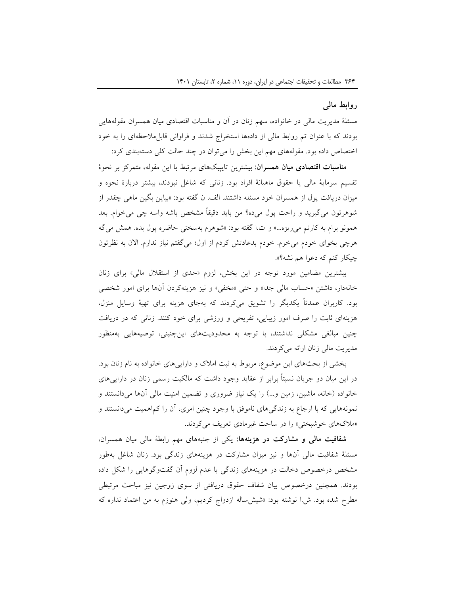# **روابط مالی**

مسئلۀ مدیریت مالی در خانواده، سهم زنان در آن و مناسبات اقتصادی میان همسران مقولههایی بودند که با عنوان تم روابط مالی از دادهها استخراج شدند و فراوانی قابلمالحظهای را به خود اختصاص داده بود. مقولههای مهم این بخش را میتوان در چند حالت کلی دستهبندی کرد:

**مناسبات اقتصادی میان همسران:** بیشترین تایپیکهای مرتبط با این مقوله، متمرکز بر نحوۀ تقسیم سرمایۀ مالی یا حقوق ماهیانۀ افراد بود. زنانی که شاغل نبودند، بیشتر دربارۀ نحوه و میزان دریافت پول از همسران خود مسئله داشتند. الف. ن گفته بود: »بیاین بگین ماهی چقدر از شوهرتون میگیرید و راحت پول میده؟ من باید دقیقاً مشخص باشه واسه چی میخوام. بعد همونو برام به کارتم میریزه...« و ت.ا گفته بود: »شوهرم بهسختی حاضره پول بده. همش میگه هرچی بخوای خودم میخرم. خودم بدعادتش کردم از اول؛ میگفتم نیاز ندارم. االن به نظرتون چیکار کنم که دعوا هم نشه؟«.

بیشترین مضامین مورد توجه در این بخش، لزوم »حدی از استقالل مالی« برای زنان خانهدار، داشتن «حساب مالی جدا» و حتی «مخفی» و نیز هزینهکردن آنها برای امور شخصی بود. کاربران عمدتاً یکدیگر را تشویق میکردند که بهجای هزینه برای تهیۀ وسایل منزل، هزینهای ثابت را صرف امور زیبایی، تفریحی و ورزشی برای خود کنند. زنانی که در دریافت چنین مبالغی مشکلی نداشتند، با توجه به محدودیتهای اینچنینی، توصیههایی بهمنظور مدیریت مالی زنان ارائه میکردند.

بخشی از بحثهای این موضوع، مربوط به ثبت امالک و داراییهای خانواده به نام زنان بود. در این میان دو جریان نسبتاً برابر از عقاید وجود داشت که مالکیت رسمی زنان در داراییهای خانواده (خانه، ماشین، زمین و...) را یک نیاز ضروری و تضمین امنیت مالی آنها میدانستند و نمونههایی که با ارجاع به زندگیهای ناموفق با وجود چنین امری، آن را کماهمیت میدانستند و »مالکهای خوشبختی« را در ساحت غیرمادی تعریف میکردند.

**شفافیت مالی و مشارکت در هزینهها:** یکی از جنبههای مهم رابطۀ مالی میان همسران، مسئلۀ شفافیت مالی آنها و نیز میزان مشارکت در هزینههای زندگی بود. زنان شاغل بهطور مشخص درخصوص دخالت در هزینههای زندگی یا عدم لزوم آن گفتوگوهایی را شکل داده بودند. همچنین درخصوص بیان شفاف حقوق دریافتی از سوی زوجین نیز مباحث مرتبطی مطرح شده بود. ش.ا نوشته بود: »شیشساله ازدواج کردیم، ولی هنوزم به من اعتماد نداره که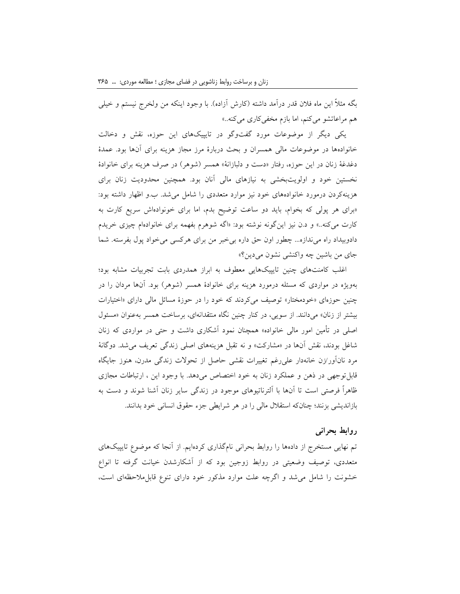بگه مثلاً این ماه فلان قدر درآمد داشته (کارش آزاده). با وجود اینکه من ولخرج نیستم و خیلی هم مراعاتشو میکنم، اما بازم مخفیکاری میکنه..»

یکی دیگر از موضوعات مورد گفتوگو در تایپیکهای این حوزه، نقش و دخالت خانوادهها در موضوعات مالی همسران و بحث دربارۀ مرز مجاز هزینه برای آنها بود. عمدۀ دغدغۀ زنان در این حوزه، رفتار «دست و دلبازانۀ» همسر (شوهر) در صرف هزینه برای خانوادۀ نخستین خود و اولویتبخشی به نیازهای مالی آنان بود. همچنین محدودیت زنان برای هزینهکردن درمورد خانوادههای خود نیز موارد متعددی را شامل میشد. ب.و اظهار داشته بود: »برای هر پولی که بخوام، باید دو ساعت توضیح بدم، اما برای خونوادهاش سریع کارت به کارت میکنه..« و د.ن نیز اینگونه نوشته بود: »اگه شوهرم بفهمه برای خانوادهام چیزی خریدم دادوبیداد راه میندازه... چطور اون حق داره بیخبر من برای هرکسی میخواد پول بفرسته. شما جای من باشین چه واکنشی نشون میدین؟«

اغلب کامنتهای چنین تایپیکهایی معطوف به ابراز همدردی بابت تجربیات مشابه بود؛ بهویژه در مواردی که مسئله درمورد هزینه برای خانوادۀ همسر )شوهر( بود. آنها مردان را در چنین حوزهای »خودمختار« توصیف میکردند که خود را در حوزۀ مسائل مالی دارای »اختیارات بیشتر از زنان« میدانند. از سویی، در کنار چنین نگاه منتقدانهای، برساخت همسر بهعنوان »مسئول اصلی در تأمین امور مالی خانواده« همچنان نمود آشکاری داشت و حتی در مواردی که زنان شاغل بودند، نقش آنها در »مشارکت« و نه تقبل هزینههای اصلی زندگی تعریف میشد. دوگانۀ مرد نانآور/زن خانهدار علیرغم تغییرات نقشی حاصل از تحوالت زندگی مدرن، هنوز جایگاه قابلتوجهی در ذهن و عملکرد زنان به خود اختصاص میدهد. با وجود این ، ارتباطات مجازی ظاهراً فرصتی است تا آنها با آلترناتیوهای موجود در زندگی سایر زنان آشنا شوند و دست به بازاندیشی بزنند؛ چنانکه استقالل مالی را در هر شرایطی جزء حقوق انسانی خود بدانند.

## **روابط بحرانی**

تم نهایی مستخرج از دادهها را روابط بحرانی نامگذاری کردهایم. از آنجا که موضوع تایپیکهای متعددی، توصیف وضعیتی در روابط زوجین بود که از آشکارشدن خیانت گرفته تا انواع خشونت را شامل میشد و اگرچه علت موارد مذکور خود دارای تنوع قابلمالحظهای است،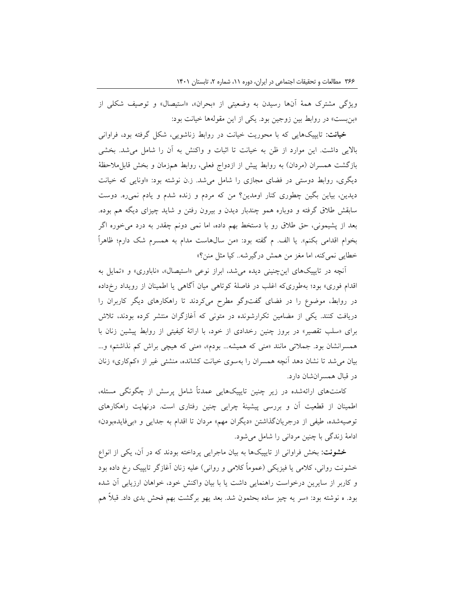ویژگی مشترک همۀ آنها رسیدن به وضعیتی از »بحران«، »استیصال« و توصیف شکلی از »بنبست« در روابط بین زوجین بود. یکی از این مقولهها خیانت بود:

**خیانت:** تایپیکهایی که با محوریت خیانت در روابط زناشویی، شکل گرفته بود، فراوانی باالیی داشت. این موارد از ظن به خیانت تا اثبات و واکنش به آن را شامل میشد. بخشی بازگشت همسران (مردان) به روابط پیش از ازدواج فعلی، روابط همزمان و بخش قابل0احظۀ دیگری، روابط دوستی در فضای مجازی را شامل میشد. ز.ن نوشته بود: »اونایی که خیانت دیدین، بیاین بگین چطوری کنار اومدین؟ من که مردم و زنده شدم و یادم نمیره. دوست سابقش طالق گرفته و دوباره همو چندبار دیدن و بیرون رفتن و شاید چیزای دیگه هم بوده. بعد از پشیمونی، حق طالق رو با دستخط بهم داده، اما نمی دونم چقدر به درد میخوره اگر بخوام اقدامی بکنم». یا الف. م گفته بود: «من سال۵است مدام به همسرم شک دارم؛ ظاهراً خطایی نمیکنه، اما مغز من همش درگیرشه.. کیا مثل منن؟«

آنچه در تایپیکهای اینچنینی دیده می شد، ابراز نوعی «استیصال»، «ناباوری» و «تمایل به اقدام فوری« بود؛ بهطوریکه اغلب در فاصلۀ کوتاهی میان آگاهی یا اطمینان از رویداد رخداده در روابط، موضوع را در فضای گفتوگو مطرح میکردند تا راهکارهای دیگر کاربران را دریافت کنند. یکی از مضامین تکرارشونده در متونی که آغازگران منتشر کرده بودند، تالش برای »سلب تقصیر« در بروز چنین رخدادی از خود، با ارائۀ کیفیتی از روابط پیشین زنان با همسرانشان بود. جمالتی مانند »منی که همیشه... بودم«، »منی که هیچی براش کم نذاشتم« و... بیان میشد تا نشان دهد آنچه همسران را بهسوی خیانت کشانده، منشئی غیر از »کمکاری« زنان در قبال همسرانشان دارد.

کامنتهای ارائهشده در زیر چنین تایپیکهایی عمدتاً شامل پرسش از چگونگی مسئله، اطمینان از قطعیت آن و بررسی پیشینۀ چرایی چنین رفتاری است. درنهایت راهکارهای توصیهشده، طیفی از درجریانگذاشتن »دیگران مهم« مردان تا اقدام به جدایی و »بیفایدهبودن« ادامۀ زندگی با چنین مردانی را شامل میشود.

**خشونت:** بخش فراوانی از تایپیکها به بیان ماجرایی پرداخته بودند که در آن، یکی از انواع خشونت روانی، کلامی یا فیزیکی (عموماً کلامی و روانی) علیه زنان آغازگر تایپیک رخ داده بود و کاربر از سایرین درخواست راهنمایی داشت یا با بیان واکنش خود، خواهان ارزیابی آن شده بود. ه نوشته بود: »سر یه چیز ساده بحثمون شد. بعد یهو برگشت بهم فحش بدی داد. قبالً هم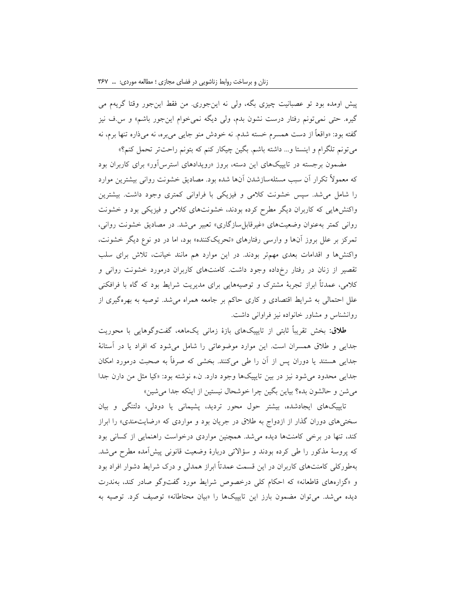پیش اومده بود تو عصبانیت چیزی بگه، ولی نه اینجوری. من فقط اینجور وقتا گریهم می گیره. حتی نمیتونم رفتار درست نشون بدم، ولی دیگه نمیخوام اینجور باشم« و س.ف نیز گفته بود: »واقعاً از دست همسرم خسته شدم. نه خودش منو جایی میبره، نه میذاره تنها برم، نه میتونم تلگرام و اینستا و... داشته باشم. بگین چیکار کنم که بتونم راحتتر تحمل کنم؟«

مضمون برجسته در تایپیکهای این دسته، بروز »رویدادهای استرسآور« برای کاربران بود که معموالً تکرار آن سبب مسئلهسازشدن آنها شده بود. مصادیق خشونت روانی بیشترین موارد را شامل میشد. سپس خشونت کالمی و فیزیکی با فراوانی کمتری وجود داشت. بیشترین واکنشهایی که کاربران دیگر مطرح کرده بودند، خشونتهای کالمی و فیزیکی بود و خشونت روانی کمتر بهعنوان وضعیتهای »غیرقابلسازگاری« تعبیر میشد. در مصادیق خشونت روانی، تمرکز بر علل بروز آنها و وارسی رفتارهای »تحریککننده« بود، اما در دو نوع دیگر خشونت، واکنشها و اقدامات بعدی مهمتر بودند. در این موارد هم مانند خیانت، تالش برای سلب تقصیر از زنان در رفتار رخداده وجود داشت. کامنتهای کاربران درمورد خشونت روانی و کالمی، عمدتاً ابراز تجربۀ مشترک و توصیههایی برای مدیریت شرایط بود که گاه با فرافکنی علل احتمالی به شرایط اقتصادی و کاری حاکم بر جامعه همراه میشد. توصیه به بهرهگیری از روانشناس و مشاور خانواده نیز فراوانی داشت.

**طالق:** بخش تقریباً ثابتی از تایپیکهای بازۀ زمانی یکماهه، گفتوگوهایی با محوریت جدایی و طالق همسران است. این موارد موضوعاتی را شامل میشود که افراد یا در آستانۀ جدایی هستند یا دوران پس از آن را طی میکنند. بخشی که صرفاً به صحبت درمورد امکان جدایی محدود میشود نیز در بین تایپیکها وجود دارد. ن.ه نوشته بود: »کیا مثل من دارن جدا میشن و حالشون بده؟ بیاین بگین چرا خوشحال نیستین از اینکه جدا میشین«

تایپیکهای ایجادشده، بیشتر حول محور تردید، پشیمانی یا دودلی، دلتنگی و بیان سختیهای دوران گذار از ازدواج به طالق در جریان بود و مواردی که »رضایتمندی« را ابراز کند، تنها در برخی کامنتها دیده میشد. همچنین مواردی درخواست راهنمایی از کسانی بود که پروسۀ مذکور را طی کرده بودند و سؤاالتی دربارۀ وضعیت قانونی پیشآمده مطرح میشد. بهطورکلی کامنتهای کاربران در این قسمت عمدتاً ابراز همدلی و درک شرایط دشوار افراد بود و »گزارههای قاطعانه« که احکام کلی درخصوص شرایط مورد گفتوگو صادر کند، بهندرت دیده میشد. میتوان مضمون بارز این تایپیکها را »بیان محتاطانه« توصیف کرد. توصیه به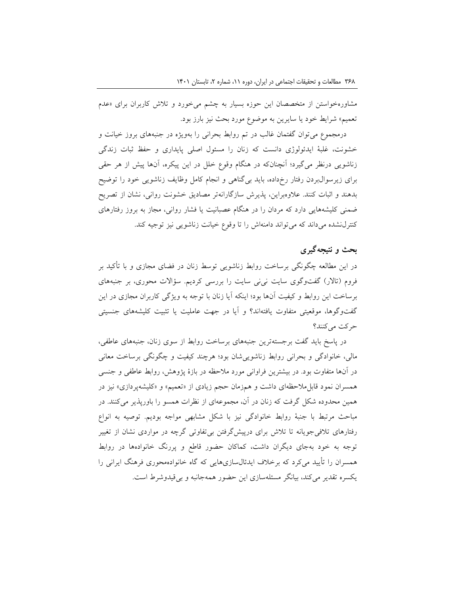مشاورهخواستن از متخصصان این حوزه بسیار به چشم میخورد و تالش کاربران برای »عدم تعمیم» شرایط خود یا سایرین به موضوع مورد بحث نیز بارز بود.

درمجموع میتوان گفتمان غالب در تم روابط بحرانی را بهویژه در جنبههای بروز خیانت و خشونت، غلبۀ ایدئولوژی دانست که زنان را مسئول اصلی پایداری و حفظ ثبات زندگی زناشویی درنظر میگیرد؛ آنچنانکه در هنگام وقوع خلل در این پیکره، آنها پیش از هر حقی برای زیرسوالبردن رفتار رخداده، باید بیگناهی و انجام کامل وظایف زناشویی خود را توضیح بدهند و اثبات کنند. عالوهبراین، پذیرش سازگارانهتر مصادیق خشونت روانی، نشان از تصریح ضمنی کلیشههایی دارد که مردان را در هنگام عصبانیت یا فشار روانی، مجاز به بروز رفتارهای کنترلنشده میداند که میتواند دامنهاش را تا وقوع خیانت زناشویی نیز توجیه کند.

# **بحث و نتیجهگیری**

در این مطالعه چگونگی برساخت روابط زناشویی توسط زنان در فضای مجازی و با تأکید بر فروم )تاالر( گفتوگوی سایت نینی سایت را بررسی کردیم. سؤاالت محوری، بر جنبههای برساخت این روابط و کیفیت آنها بود؛ اینکه آیا زنان با توجه به ویژگی کاربران مجازی در این گفتوگوها، موقعیتی متفاوت یافتهاند؟ و آیا در جهت عاملیت یا تثبیت کلیشههای جنسیتی حرکت میکنند؟

در پاسخ باید گفت برجستهترین جنبههای برساخت روابط از سوی زنان، جنبههای عاطفی، مالی، خانوادگی و بحرانی روابط زناشوییشان بود؛ هرچند کیفیت و چگونگی برساخت معانی در آنها متفاوت بود. در بیشترین فراوانی مورد مالحظه در بازۀ پژوهش، روابط عاطفی و جنسی همسران نمود قابل ملاحظهای داشت و همزمان حجم زیادی از «تعمیم» و «کلیشهپردازی» نیز در همین محدوده شکل گرفت که زنان در آن، مجموعهای از نظرات همسو را باورپذیر میکنند. در مباحث مرتبط با جنبۀ روابط خانوادگی نیز با شکل مشابهی مواجه بودیم. توصیه به انواع رفتارهای تالفیجویانه تا تالش برای درپیشگرفتن بیتفاوتی گرچه در مواردی نشان از تغییر توجه به خود بهجای دیگران داشت، کماکان حضور قاطع و پررنگ خانوادهها در روابط همسران را تأیید میکرد که برخالف ایدئالسازیهایی که گاه خانوادهمحوری فرهنگ ایرانی را یکسره تقدیر میکند، بیانگر مسئلهسازی این حضور همهجانبه و بیقیدوشرط است.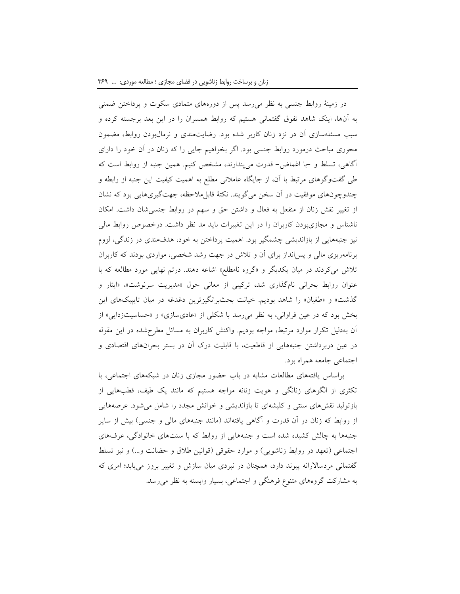در زمینۀ روابط جنسی به نظر میرسد پس از دورههای متمادی سکوت و پرداختن ضمنی به آنها، اینک شاهد تفوق گفتمانی هستیم که روابط همسران را در این بعد برجسته کرده و سبب مسئلهسازی آن در نزد زنان کاربر شده بود. رضایتمندی و نرمالبودن روابط، مضمون محوری مباحث درمورد روابط جنسی بود. اگر بخواهیم جایی را که زنان در آن خود را دارای آگاهی، تسلط و -با اغماض- قدرت میپندارند، مشخص کنیم. همین جنبه از روابط است که طی گفتوگوهای مرتبط با آن، از جایگاه عامالنی مطلع به اهمیت کیفیت این جنبه از رابطه و چندوچونهای موفقیت در آن سخن میگویند. نکتۀ قابلمالحظه، جهتگیریهایی بود که نشان از تغییر نقش زنان از منفعل به فعال و داشتن حق و سهم در روابط جنسیشان داشت. امکان ناشناس و مجازیبودن کاربران را در این تغییرات باید مد نظر داشت. درخصوص روابط مالی نیز جنبههایی از بازاندیشی چشمگیر بود. اهمیت پرداختن به خود، هدفمندی در زندگی، لزوم برنامهریزی مالی و پسانداز برای آن و تالش در جهت رشد شخصی، مواردی بودند که کاربران تالش میکردند در میان یکدیگر و »گروه نامطلع« اشاعه دهند. درتم نهایی مورد مطالعه که با عنوان روابط بحرانی نامگذاری شد، ترکیبی از معانی حول »مدیریت سرنوشت«، »ایثار و گذشت» و «طغیان» را شاهد بودیم. خیانت بحثبرانگیزترین دغدغه در میان تایپیکهای این بخش بود که در عین فراوانی، به نظر می رسد با شکلی از «عادیسازی» و «حساسیتزدایی» از آن بهدلیل تکرار موارد مرتبط، مواجه بودیم. واکنش کاربران به مسائل مطرحشده در این مقوله در عین دربرداشتن جنبههایی از قاطعیت، با قابلیت درک آن در بستر بحرانهای اقتصادی و اجتماعی جامعه همراه بود.

براساس یافتههای مطالعات مشابه در باب حضور مجازی زنان در شبکههای اجتماعی، با تکثری از الگوهای زنانگی و هویت زنانه مواجه هستیم که مانند یک طیف، قطبهایی از بازتولید نقشهای سنتی و کلیشهای تا بازاندیشی و خوانش مجدد را شامل میشود. عرصههایی از روابط که زنان در آن قدرت و آگاهی یافتهاند (مانند جنبههای مالی و جنسی) بیش از سایر جنبهها به چالش کشیده شده است و جنبههایی از روابط که با سنتهای خانوادگی، عرفهای اجتماعی (تعهد در روابط زناشویی) و موارد حقوقی (قوانین طلاق و حضانت و…) و نیز تسلط گفتمانی مردساالرانه پیوند دارد، همچنان در نبردی میان سازش و تغییر بروز مییابد؛ امری که به مشارکت گروههای متنوع فرهنگی و اجتماعی، بسیار وابسته به نظر میرسد.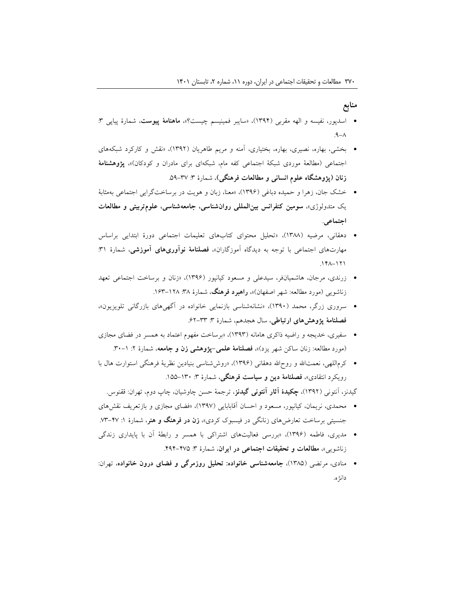## **منابع**

- اسدپور، نفیسه و الهه مقربی )1394(، »سایبر فمینیسم چیست؟«، **ماهنامۀ پیوست**، شمارۀ پیاپی :3  $A - A$
- بخشی، بهاره، نصیری، بهاره، بختیاری، آمنه و مریم طاهریان )1392(، »نقش و کارکرد شبکههای اجتماعی )مطالعۀ موردی شبکۀ اجتماعی کفه مام، شبکهای برای مادران و کودکان(«، **پژوهشنامۀ زنان )پژوهشگاه علوم انسانی و مطالعات فرهنگی(**، شمارۀ :3 .59-37
- خشک جان، زهرا و حمیده دباغی )1396(، »معنا، زبان و هویت در برساختگرایی اجتماعی بهمثابۀ یک متدولوژی«، **سومین کنفرانس بینالمللی روانشناسی، جامعهشناسی، علومتربیتی و مطالعات اجتماعی**.
- دهقانی، مرضیه )1388(، »تحلیل محتوای کتابهای تعلیمات اجتماعی دورۀ ابتدایی براساس مهارتهای اجتماعی با توجه به دیدگاه آموزگاران«، **فصلنامۀ نوآوریهای آموزشی**، شمارۀ :31  $.141 - 171$
- زرندی، مرجان، هاشمیانفر، سیدعلی و مسعود کیانپور )1396(، »زنان و برساخت اجتماعی تعهد زناشویی (مورد مطالعه: شهر اصفهان)»**، راهبرد فرهنگ**، شمارۀ ٣٨: ١٢٨–١۶٣.
- سروری زرگر، محمد )1390(، »نشانهشناسی بازنمایی خانواده در آگهیهای بازرگانی تلویزیون«، **فصلنامۀ پژوهشهای ارتباطی**، سال هجدهم، شمارۀ :3 .62-33
- سفیری، خدیجه و راضیه ذاکری هامانه )1393(، »برساخت مفهوم اعتماد به همسر در فضای مجازی (مورد مطالعه: زنان ساکن شهر یزد)»، فصلنامۀ علمی-پژوهشی زن و جامعه، شمارۀ ۲: ۱–۳۰.
- کرماللهی، نعمتالله و روحالله دهقانی (۱۳۹۶)، «روششناسی بنیادین نظریۀ فرهنگی استوارت هال با رویکرد انتقادی«، **فصلنامۀ دین و سیاست فرهنگی**، شمارۀ :3 .155-130

گیدنز، آنتونی )1392(، **چکیدۀ آثار آنتونی گیدنز**، ترجمۀ حسن چاوشیان، چاپ دوم، تهران: ققنوس.

- محمدی، نریمان، کیانپور، مسعود و احسان آقابابایی )1397(، »فضای مجازی و بازتعریف نقشهای جنسیتی برساخت تعارضهای زنانگی در فیسبوک کردی«، **زن در فرهنگ و هنر**، شمارۀ :1 .73-47
- مدیری، فاطمه )1396(، »بررسی فعالیتهای اشتراکی با همسر و رابطۀ آن با پایداری زندگی زناشویی«، **مطالعات و تحقیقات اجتماعی در ایران**، شمارۀ :3 .494-475
- منادی، مرتضی )1385(، **جامعهشناسی خانواده: تحلیل روزمرگی و فضای درون خانواده**، تهران: دانژه.